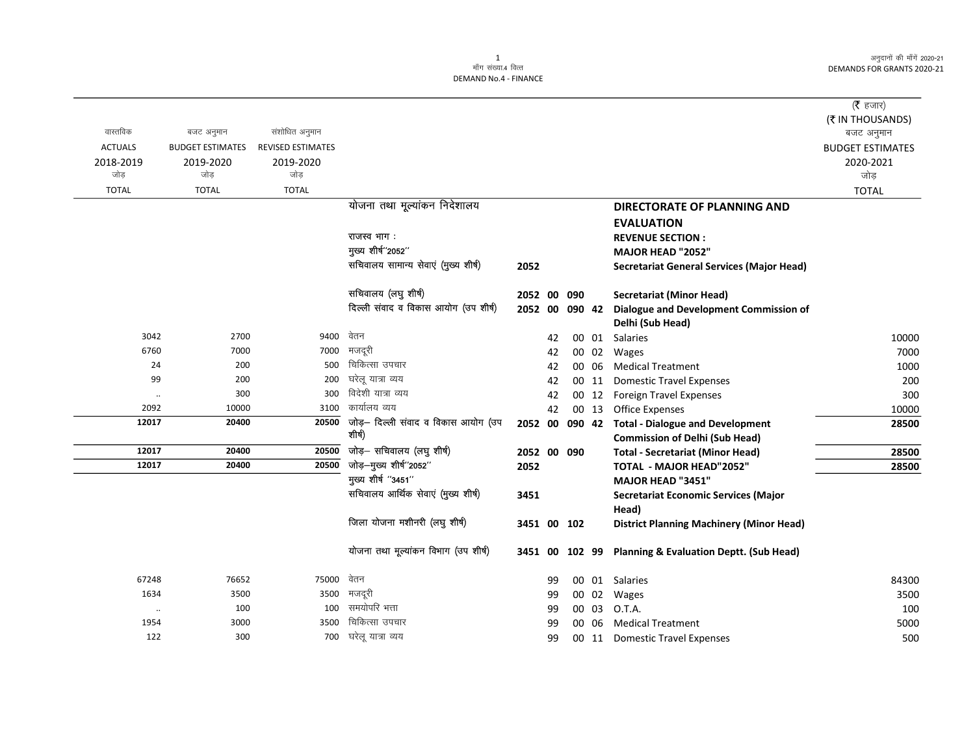अनुदानों की माँगें 2020-21 DEMANDS FOR GRANTS 2020-21

 $\overline{\phantom{0}}$ 

|                |                         |                          |                                      |             |    |        |                                                        | ( $\bar{\tau}$ हजार)    |
|----------------|-------------------------|--------------------------|--------------------------------------|-------------|----|--------|--------------------------------------------------------|-------------------------|
|                |                         |                          |                                      |             |    |        |                                                        | (₹ IN THOUSANDS)        |
| वास्तविक       | बजट अनुमान              | संशोधित अनुमान           |                                      |             |    |        |                                                        | बजट अनुमान              |
| <b>ACTUALS</b> | <b>BUDGET ESTIMATES</b> | <b>REVISED ESTIMATES</b> |                                      |             |    |        |                                                        | <b>BUDGET ESTIMATES</b> |
| 2018-2019      | 2019-2020               | 2019-2020                |                                      |             |    |        |                                                        | 2020-2021               |
| जोड़           | जोड                     | जोड़                     |                                      |             |    |        |                                                        | जोड़                    |
| <b>TOTAL</b>   | <b>TOTAL</b>            | <b>TOTAL</b>             |                                      |             |    |        |                                                        | <b>TOTAL</b>            |
|                |                         |                          | योजना तथा मूल्यांकन निदेशालय         |             |    |        | <b>DIRECTORATE OF PLANNING AND</b>                     |                         |
|                |                         |                          |                                      |             |    |        | <b>EVALUATION</b>                                      |                         |
|                |                         |                          | राजस्व भाग:                          |             |    |        | <b>REVENUE SECTION:</b>                                |                         |
|                |                         |                          | मुख्य शीर्ष"2052"                    |             |    |        | MAJOR HEAD "2052"                                      |                         |
|                |                         |                          | सचिवालय सामान्य सेवाएं (मुख्य शीर्ष) | 2052        |    |        | <b>Secretariat General Services (Major Head)</b>       |                         |
|                |                         |                          | सचिवालय (लघु शीर्ष)                  | 2052 00 090 |    |        | <b>Secretariat (Minor Head)</b>                        |                         |
|                |                         |                          | दिल्ली संवाद व विकास आयोग (उप शीर्ष) | 2052 00     |    | 090 42 | Dialogue and Development Commission of                 |                         |
|                |                         |                          |                                      |             |    |        | Delhi (Sub Head)                                       |                         |
| 3042           | 2700                    | 9400                     | वेतन                                 |             | 42 |        | 00 01 Salaries                                         | 10000                   |
| 6760           | 7000                    | 7000                     | मजदरी                                |             | 42 |        | 00 02 Wages                                            | 7000                    |
| 24             | 200                     | 500                      | चिकित्सा उपचार                       |             | 42 |        | 00 06 Medical Treatment                                | 1000                    |
| 99             | 200                     | 200                      | घरेलू यात्रा व्यय                    |             | 42 |        | 00 11 Domestic Travel Expenses                         | 200                     |
| $\ldots$       | 300                     | 300                      | विदेशी यात्रा व्यय                   |             | 42 |        | 00 12 Foreign Travel Expenses                          | 300                     |
| 2092           | 10000                   | 3100                     | कार्यालय व्यय                        |             | 42 |        | 00 13 Office Expenses                                  | 10000                   |
| 12017          | 20400                   | 20500                    | जोड़- दिल्ली संवाद व विकास आयोग (उप  |             |    |        | 2052 00 090 42 Total - Dialogue and Development        | 28500                   |
|                |                         |                          | शीर्ष)                               |             |    |        | <b>Commission of Delhi (Sub Head)</b>                  |                         |
| 12017          | 20400                   | 20500                    | जोड़- सचिवालय (लघु शीर्ष)            | 2052 00 090 |    |        | <b>Total - Secretariat (Minor Head)</b>                | 28500                   |
| 12017          | 20400                   | 20500                    | जोड़–मुख्य शीर्ष"2052"               | 2052        |    |        | <b>TOTAL - MAJOR HEAD"2052"</b>                        | 28500                   |
|                |                         |                          | मुख्य शीर्ष "3451"                   |             |    |        | MAJOR HEAD "3451"                                      |                         |
|                |                         |                          | सचिवालय आर्थिक सेवाएं (मुख्य शीर्ष)  | 3451        |    |        | <b>Secretariat Economic Services (Major</b>            |                         |
|                |                         |                          |                                      |             |    |        | Head)                                                  |                         |
|                |                         |                          | जिला योजना मशीनरी (लघु शीर्ष)        | 3451 00 102 |    |        | <b>District Planning Machinery (Minor Head)</b>        |                         |
|                |                         |                          | योजना तथा मूल्यांकन विभाग (उप शीर्ष) |             |    |        | 3451 00 102 99 Planning & Evaluation Deptt. (Sub Head) |                         |
| 67248          | 76652                   | 75000                    | वेतन                                 |             | 99 |        | 00 01 Salaries                                         | 84300                   |
| 1634           | 3500                    | 3500                     | मजदूरी                               |             | 99 |        | 00 02 Wages                                            | 3500                    |
| $\ddotsc$      | 100                     | 100                      | समयोपरि भत्ता                        |             | 99 | 00 03  | O.T.A.                                                 | 100                     |
| 1954           | 3000                    | 3500                     | चिकित्सा उपचार                       |             | 99 | 00 06  | <b>Medical Treatment</b>                               | 5000                    |
| 122            | 300                     | 700                      | घरेलू यात्रा व्यय                    |             | 99 |        | 00 11 Domestic Travel Expenses                         | 500                     |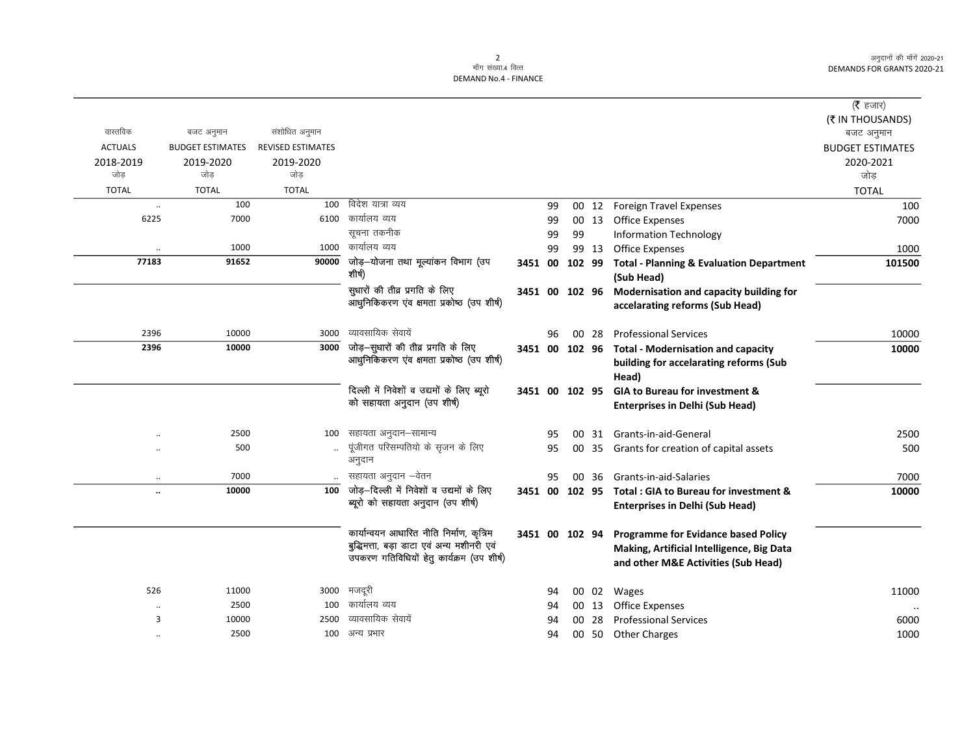अनुदानों की माँगें 2020-21 DEMANDS FOR GRANTS 2020-21

 $\overline{\phantom{0}}$ 

## 2<br>माँग संख्या.4 वित्त DEMAND No.4 - FINANCE

|                      |                         |                          |                                                                             |                |    |    |       |                                                                                           | ( <b>रै</b> हजार)       |
|----------------------|-------------------------|--------------------------|-----------------------------------------------------------------------------|----------------|----|----|-------|-------------------------------------------------------------------------------------------|-------------------------|
|                      |                         |                          |                                                                             |                |    |    |       |                                                                                           | (₹ IN THOUSANDS)        |
| वास्तविक             | बजट अनुमान              | संशोधित अनुमान           |                                                                             |                |    |    |       |                                                                                           | बजट अनुमान              |
| <b>ACTUALS</b>       | <b>BUDGET ESTIMATES</b> | <b>REVISED ESTIMATES</b> |                                                                             |                |    |    |       |                                                                                           | <b>BUDGET ESTIMATES</b> |
| 2018-2019            | 2019-2020               | 2019-2020                |                                                                             |                |    |    |       |                                                                                           | 2020-2021               |
| जोड                  | जोड                     | जोड                      |                                                                             |                |    |    |       |                                                                                           | जोड                     |
| <b>TOTAL</b>         | <b>TOTAL</b>            | <b>TOTAL</b>             |                                                                             |                |    |    |       |                                                                                           | <b>TOTAL</b>            |
| $\ddot{\phantom{0}}$ | 100                     | 100                      | विदेश यात्रा व्यय                                                           |                | 99 |    | 00 12 | <b>Foreign Travel Expenses</b>                                                            | 100                     |
| 6225                 | 7000                    |                          | $6100$ कार्यालय व्यय                                                        |                | 99 |    | 00 13 | <b>Office Expenses</b>                                                                    | 7000                    |
|                      |                         |                          | सूचना तकनीक                                                                 |                | 99 | 99 |       | <b>Information Technology</b>                                                             |                         |
|                      | 1000                    | 1000                     | कार्यालय व्यय                                                               |                | 99 |    | 99 13 | <b>Office Expenses</b>                                                                    | 1000                    |
| 77183                | 91652                   | 90000                    | जोड़-योजना तथा मूल्यांकन विभाग (उप<br>शीर्ष)                                | 3451 00 102 99 |    |    |       | <b>Total - Planning &amp; Evaluation Department</b><br>(Sub Head)                         | 101500                  |
|                      |                         |                          | सुधारों की तीव्र प्रगति के लिए<br>आधुनिकिकरण एंव क्षमता प्रकोष्ठ (उप शीर्ष) |                |    |    |       | 3451 00 102 96 Modernisation and capacity building for<br>accelarating reforms (Sub Head) |                         |
| 2396                 | 10000                   | 3000                     | व्यावसायिक सेवायें                                                          |                | 96 |    | 00 28 | <b>Professional Services</b>                                                              | 10000                   |
| 2396                 | 10000                   | 3000                     | जोड़-सुधारों की तीव्र प्रगति के लिए                                         | 3451 00 102 96 |    |    |       | <b>Total - Modernisation and capacity</b>                                                 | 10000                   |
|                      |                         |                          | आधुनिकिकरण एव क्षमता प्रकोष्ठ (उप शीर्ष)                                    |                |    |    |       | building for accelarating reforms (Sub<br>Head)                                           |                         |
|                      |                         |                          | दिल्ली में निवेशों व उद्यमों के लिए ब्यूरो                                  | 3451 00 102 95 |    |    |       | GIA to Bureau for investment &                                                            |                         |
|                      |                         |                          | को सहायता अनुदान (उप शीर्ष)                                                 |                |    |    |       | <b>Enterprises in Delhi (Sub Head)</b>                                                    |                         |
|                      | 2500                    | 100                      | सहायता अनुदान–सामान्य                                                       |                | 95 |    |       | 00 31 Grants-in-aid-General                                                               | 2500                    |
|                      | 500                     |                          | पूंजीगत परिसम्पतियो के सृजन के लिए<br>अनुदान                                |                | 95 |    |       | 00 35 Grants for creation of capital assets                                               | 500                     |
| $\ldots$             | 7000                    |                          | सहायता अनुदान –वेतन                                                         |                | 95 |    | 00 36 | Grants-in-aid-Salaries                                                                    | 7000                    |
| $\ddot{\phantom{a}}$ | 10000                   | 100                      | जोड़-दिल्ली में निवेशों व उद्यमों के लिए                                    |                |    |    |       | 3451 00 102 95 Total: GIA to Bureau for investment &                                      | 10000                   |
|                      |                         |                          | ब्यूरो को सहायता अनुदान (उप शीर्ष)                                          |                |    |    |       | <b>Enterprises in Delhi (Sub Head)</b>                                                    |                         |
|                      |                         |                          | कार्यान्वयन आधारित नीति निर्माण, कृत्रिम                                    | 3451 00 102 94 |    |    |       | <b>Programme for Evidance based Policy</b>                                                |                         |
|                      |                         |                          | बुद्धिमत्ता, बड़ा डाटा एवं अन्य मशीनरी एवं                                  |                |    |    |       | Making, Artificial Intelligence, Big Data                                                 |                         |
|                      |                         |                          | उपकरण गतिविधियों हेतु कार्यक्रम (उप शीर्ष)                                  |                |    |    |       | and other M&E Activities (Sub Head)                                                       |                         |
| 526                  | 11000                   | 3000                     | मजदूरी                                                                      |                | 94 |    | 00 02 | Wages                                                                                     | 11000                   |
| $\ddotsc$            | 2500                    | 100                      | कार्यालय व्यय                                                               |                | 94 |    | 00 13 | <b>Office Expenses</b>                                                                    |                         |
| 3                    | 10000                   | 2500                     | व्यावसायिक सेवायें                                                          |                | 94 | 00 | 28    | <b>Professional Services</b>                                                              | 6000                    |
| $\cdot$              | 2500                    | 100                      | अन्य प्रभार                                                                 |                | 94 |    |       | 00 50 Other Charges                                                                       | 1000                    |